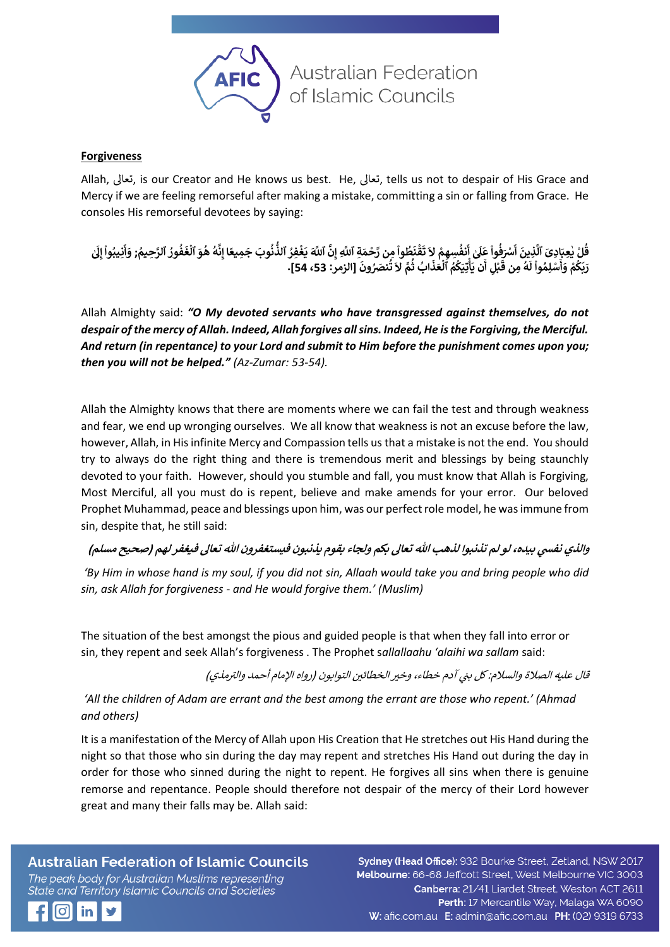

### **Forgiveness**

Allah, تعاىل, is our Creator and He knows us best. He, تعاىل, tells us not to despair of His Grace and Mercy if we are feeling remorseful after making a mistake, committing a sin or falling from Grace. He consoles His remorseful devotees by saying:

**ْ <br>نفُسِهِمْ لاَ تَقْ ْ ُ** .<br>قُلْ يٰعِبَادِيَ ٱلَّذِينَ أَسْرَفُواْ عَلَىٰ أَنفُسِهِمْ لاَ تَقْنَطُواْ مِن رَّحْمَةِ ٱللَّهِ إِنَّ ٱللَّهَ يَغْفِرُ ٱلذُّنُوبَ جَمِيعًا إِنَّهُ هُوَ ٱلْغَفُورُ ٱلرَّحِيمُ **أ ٰ ْ ُ أ ٰ ْ ُ ُ ُ ُ ْ ُ ُ ُ ُّ** .<br>نَظُواْ مِن رَّحْمَةِ ٱللَّهِ إِنَّ ٱللَّهَ يَغْفِرُ ٱلذُّنُوبَ جَمِيعًا إِنَّهُ هُوَ ٱلْغَفُورُ ٱلرَّحِيمُ; وَأَنِيبُواْ إِلَىٰ **ُ ْ ْ ْ ُ ٰ إ ْ ُ َ َ و أ** رَ تَصُنَّطُوا بِنَّلِ رَحْمَةِ اللَّهِ إِنَّ<br>ذَابُ ثُمَّ لاَ تُنصَرُونَ [الزمر: **ُ** انا<br>م **ن** يَأْتِيَكُمُ ٱلْعَذَ **ْ ُ ُ ْ َ ِل أ ب ْ َ** قُّل يَعِبُدِي الدِّينَ اسْرَفُوا عَلَىٰ الْفُسِهِم لَا تَقْتَطُوا مِنْ رَحِّمَهِ اللَّهِ إِنَّ اللَّهُ يَعْقِر<br>رَبِّكُمْ وَأَسْلِمُواْ لَهُ مِن قَبْلِ أَنْ يَأْتِيَكُمُ ٱلْعَذَابُ ثُمَّ لاَ تُنصَرُونَ [الزمر: 53، 54]. **ُ ْ ُ أ ْ ُ**

Allah Almighty said: *"O My devoted servants who have transgressed against themselves, do not despair of the mercy of Allah. Indeed, Allah forgives all sins. Indeed, He is the Forgiving, the Merciful. And return (in repentance) to your Lord and submit to Him before the punishment comes upon you; then you will not be helped." (Az-Zumar: 53-54).* 

Allah the Almighty knows that there are moments where we can fail the test and through weakness and fear, we end up wronging ourselves. We all know that weakness is not an excuse before the law, however, Allah, in His infinite Mercy and Compassion tells us that a mistake is not the end. You should try to always do the right thing and there is tremendous merit and blessings by being staunchly devoted to your faith. However, should you stumble and fall, you must know that Allah is Forgiving, Most Merciful, all you must do is repent, believe and make amends for your error. Our beloved Prophet Muhammad, peace and blessings upon him, was our perfect role model, he was immune from sin, despite that, he still said:

والذي نفسي بيده، لو لم تذنبوا لذهب الله تعالى بكم ولجاء بقوم يذنبون فيستغفرون الله تعالى فيغفر لهم (صحيح مسلم)

*'By Him in whose hand is my soul, if you did not sin, Allaah would take you and bring people who did sin, ask Allah for forgiveness - and He would forgive them.' (Muslim)*

The situation of the best amongst the pious and guided people is that when they fall into error or sin, they repent and seek Allah's forgiveness . The Prophet s*allallaahu 'alaihi wa sallam* said:

قال عليه الصلاة والسلام: كل بني آدم خطاء، وخير الخطائين التوابون (رواه الإمام أحمد والترمذي)

*'All the children of Adam are errant and the best among the errant are those who repent.' (Ahmad and others)*

It is a manifestation of the Mercy of Allah upon His Creation that He stretches out His Hand during the night so that those who sin during the day may repent and stretches His Hand out during the day in order for those who sinned during the night to repent. He forgives all sins when there is genuine remorse and repentance. People should therefore not despair of the mercy of their Lord however great and many their falls may be. Allah said:

# **Australian Federation of Islamic Councils**

The peak body for Australian Muslims representing State and Territory Islamic Councils and Societies



Sydney (Head Office): 932 Bourke Street, Zetland, NSW 2017 Melbourne: 66-68 Jeffcott Street, West Melbourne VIC 3003 Canberra: 21/41 Liardet Street, Weston ACT 2611 Perth: 17 Mercantile Way, Malaga WA 6090 W: afic.com.au E: admin@afic.com.au PH: (02) 9319 6733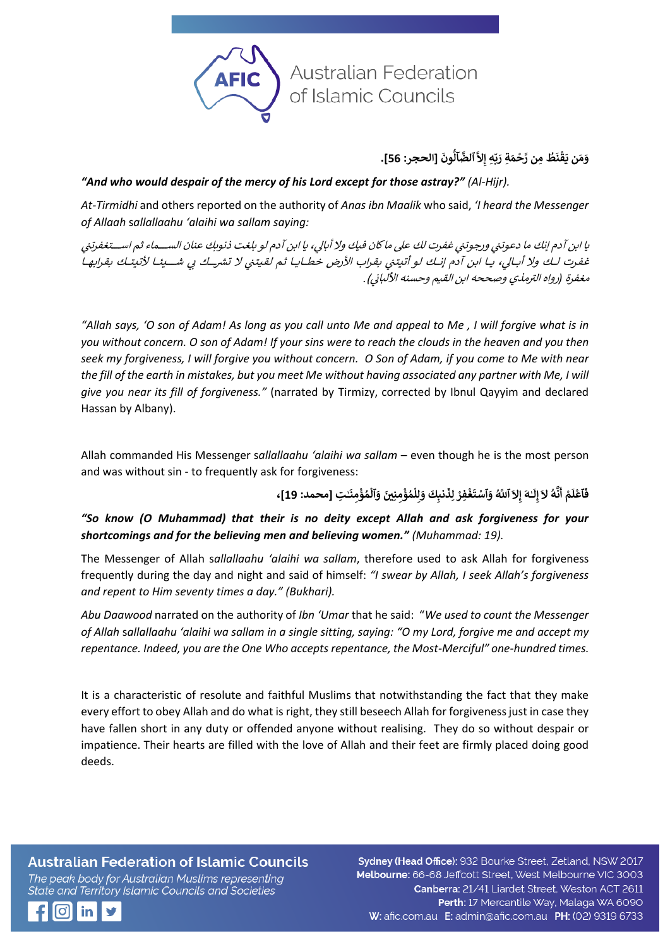

### وَمَن يَقْنَطُ مِن رَّحْمَةِ رَبِّهِ إِلاَّ ٱلضَّاَلُّونَ [الحجر: 56]. **ْ ْ**

### *"And who would despair of the mercy of his Lord except for those astray?" (Al-Hijr).*

*At-Tirmidhi* and others reported on the authority of *Anas ibn Maalik* who said, *'I heard the Messenger of Allaah* s*allallaahu 'alaihi wa sallam saying:* 

يا ابن آدم إنك ما دعوتني ورجوتني غفرت لك على ما كان فيك ولا أبالي، يا ابن آدم لو بلغت ذنوبك عنان الســـماء ثم اســـتغفرتني غفرت لـك ولا أبـالي، يـا ابن آدم إنـك لو أتيتني بقراب الأرض خطـايـا ثم لقيتني لا تشرـك بي شـــيئـا لأتيتـك بقرابهـا مغفرة (رواه الترمذي وصححه ابن القيم وحسنه الألباني) . ي

*"Allah says, 'O son of Adam! As long as you call unto Me and appeal to Me , I will forgive what is in you without concern. O son of Adam! If your sins were to reach the clouds in the heaven and you then seek my forgiveness, I will forgive you without concern. O Son of Adam, if you come to Me with near the fill of the earth in mistakes, but you meet Me without having associated any partner with Me, I will give you near its fill of forgiveness."* (narrated by Tirmizy, corrected by Ibnul Qayyim and declared Hassan by Albany).

Allah commanded His Messenger s*allallaahu 'alaihi wa sallam* – even though he is the most person and was without sin - to frequently ask for forgiveness:

> .<br>نبِكَ وَلِلْمُؤْمِنِينَ وَٱلْمُؤْمِنَـٰتِ [محمد: **ٰ ْ ُ ْ ْ ُ ْ َ إِلَـٰهَ إِلاَ ٱللَّهُ وَٱسْتَغْفِرْ لِذَّ ْ ْ إ ٰ إ َ ال ه َّ ن ُ َ أ ْ م َ ل ٱع ْ َ** فَأَعْلَمْ أَنَّهُ لاَ إِلَّـهَ إِلاَّ ٱللَّهُ وَٱسْتَغْفِرْ لِذَنبِكَ وَلِلْمُؤْمِنِينَ وَٱلْمُؤْمِنَـٰتِ [محمد: 19]،

### *"So know (O Muhammad) that their is no deity except Allah and ask forgiveness for your shortcomings and for the believing men and believing women." (Muhammad: 19).*

The Messenger of Allah s*allallaahu 'alaihi wa sallam*, therefore used to ask Allah for forgiveness frequently during the day and night and said of himself: *"I swear by Allah, I seek Allah's forgiveness and repent to Him seventy times a day." (Bukhari).*

*Abu Daawood* narrated on the authority of *Ibn 'Umar* that he said: "*We used to count the Messenger of Allah* s*allallaahu 'alaihi wa sallam in a single sitting, saying: "O my Lord, forgive me and accept my repentance. Indeed, you are the One Who accepts repentance, the Most-Merciful" one-hundred times.*

It is a characteristic of resolute and faithful Muslims that notwithstanding the fact that they make every effort to obey Allah and do what is right, they still beseech Allah for forgiveness just in case they have fallen short in any duty or offended anyone without realising. They do so without despair or impatience. Their hearts are filled with the love of Allah and their feet are firmly placed doing good deeds.

# **Australian Federation of Islamic Councils**

The peak body for Australian Muslims representing State and Territory Islamic Councils and Societies



Sydney (Head Office): 932 Bourke Street, Zetland, NSW 2017 Melbourne: 66-68 Jeffcott Street, West Melbourne VIC 3003 Canberra: 21/41 Liardet Street, Weston ACT 2611 Perth: 17 Mercantile Way, Malaga WA 6090 W: afic.com.au E: admin@afic.com.au PH: (02) 9319 6733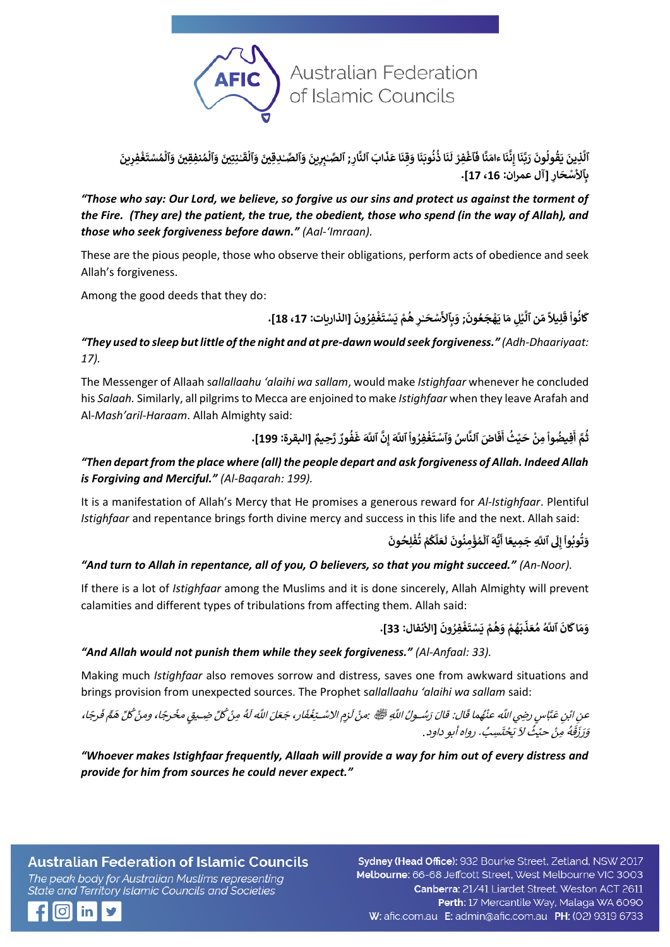

### $\hat{\mathbf{J}}$ ابَ ٱلنَّارِ **ذ َ ا ع َ ن ِ ق َ ا و َ ن َ وب ن ا ذ َ ن َ ل ِفر ٱغ ُ ُ ْ ْ َ** اَلَّذِينَ يَقُولُونَ رَبَّنَا إِنَّنَا ءامَنَّا فَآغْفِرْ لَنَا ذُنُوبَنَا وَقِنَا عَذَابَ آلنَّارِ; ٱلصَّـٰبِرِينَ وَٱلصَّـٰدِقِينَ وَٱلْقَـٰنِتِينَ وَٱلْمُنفِقِينَ وَٱلْمُسْتَغْفِرِينَ **ُ ُ ْ ُ ْ ُ ْ ٰ ْ ٰ ٰ ]آل عمران: ار َ ح ٱألسْ ِ ب ،16 17[.**

*"Those who say: Our Lord, we believe, so forgive us our sins and protect us against the torment of the Fire. (They are) the patient, the true, the obedient, those who spend (in the way of Allah), and those who seek forgiveness before dawn." (Aal-'Imraan).*

These are the pious people, those who observe their obligations, perform acts of obedience and seek Allah's forgiveness.

Among the good deeds that they do:

**لِيلاً مّن ٱلَّيْلِ مَا يَهْجَعُونَ ُ ْ ْ َ** كَانُواْ قَلِيلاً مّن ٱلَّيْلِ مَا يَهْجَعُونَ; وَبِٱلأَسْحَـٰرِ هُمْ يَسْتَغْفِرُونَ [الذا **ْ ُ ُ ْ ْ ُ ٰ** وَبِٱلأَسْحَـٰرِ هُمْ يَسْتَغْفِرُونَ [الذاريات: 17، 18].

*"They used to sleep but little of the night and at pre-dawn would seek forgiveness." (Adh-Dhaariyaat: 17).*

The Messenger of Allaah s*allallaahu 'alaihi wa sallam*, would make *Istighfaar* whenever he concluded his *Salaah.* Similarly, all pilgrims to Mecca are enjoined to make *Istighfaar* when they leave Arafah and Al-*Mash'aril-Haraam*. Allah Almighty said:

> اضَ <mark>ٱلنَّاسُ وَٱسْتَغْفِرُواْ ٱللَّهَ إِنَّ ٱللَّهَ</mark> **إ ْ ُ ْ َ ف َ أ ُ ث ي َ ح ِمن وا ِفيض ْ ْ ْ ُ** ثُمَّ أَفِيضُواْ مِنْ حَيْثُ أَفَاضَ ٱلنَّاسُ وَٱسْتَغْفِرُواْ ٱللَّهَ إِنَّ ٱللَّهَ غَفُورٌ رَّحِيمٌ [البقرة: 199]. **أ ُ ُ**

## *"Then depart from the place where (all) the people depart and ask forgiveness of Allah. Indeed Allah is Forgiving and Merciful." (Al-Baqarah: 199).*

It is a manifestation of Allah's Mercy that He promises a generous reward for *Al-Istighfaar*. Plentiful *Istighfaar* and repentance brings forth divine mercy and success in this life and the next. Allah said:

> **ْ ؤ م ٱل َ ه ُّ ي ُ ْ َ** وَتُوبُواْ إِلَى ٱللَّهِ جَمِيعًا أَيُّهَ ٱلْمُؤْمِنُونَ لَعَلَّكُمْ تُفْلِحُونَ **إ ْ ُ ُ ُ ْ ُ ْ ُ ُ**

### *"And turn to Allah in repentance, all of you, O believers, so that you might succeed." (An-Noor).*

If there is a lot of *Istighfaar* among the Muslims and it is done sincerely, Allah Almighty will prevent calamities and different types of tribulations from affecting them. Allah said:

> .<br>**بَهُمْ وَهُمْ يَسْتَغْفِرُونَ [الأنفال: ُ ْ ْ ُ ْ ُ ّ** وَمَا كَانَ ٱللَّٰهُ مُعَذِّبَهُمْ وَهُمْ يَسْتَغْفِرُونَ [الأنفال: 33]. **ُ**

### *"And Allah would not punish them while they seek forgiveness." (Al-Anfaal: 33).*

Making much *Istighfaar* also removes sorrow and distress, saves one from awkward situations and brings provision from unexpected sources. The Prophet s*allallaahu 'alaihi wa sallam* said:

عنِ ابْنِ عَبَّاسٍ رضِي اللَّه عنْهُما قَال: قالَ رَسُـولُ اللَّهِ رَضَّ لَنِهِم الاسْـتِغْفَار، جَعَلَ اللَّه لَهُ مِنْ كُلِّ ضِـيقٍ مخْرجًا، ومنْ كُلِّ هَمِّ فَرجًا، ي نِفَار، جَعَلَ اللَّه لَأ منْ لَزِمِ الاسْتِغْنَا لَّٰ مِنْ حيْثُ لاَ يَحْتَسِبُ. وَرَزَقَهُ مِنْ حيْثُ لاَ يَحْتَسِبُ. رواه أبو داود.

*"Whoever makes Istighfaar frequently, Allaah will provide a way for him out of every distress and provide for him from sources he could never expect."*

**Australian Federation of Islamic Councils** The peak body for Australian Muslims representing

State and Territory Islamic Councils and Societies